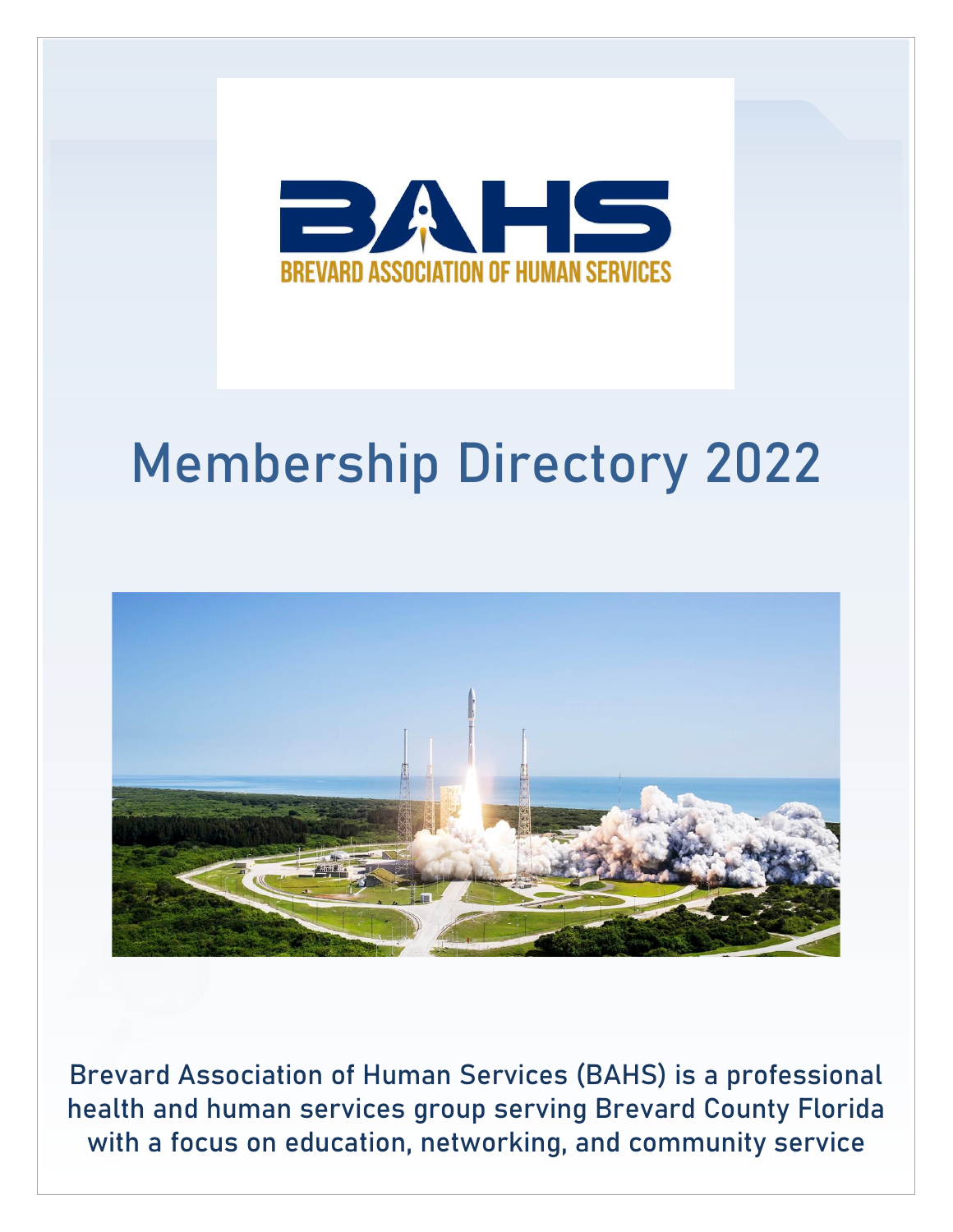

# Membership Directory 2022



Brevard Association of Human Services (BAHS) is a professional health and human services group serving Brevard County Florida with a focus on education, networking, and community service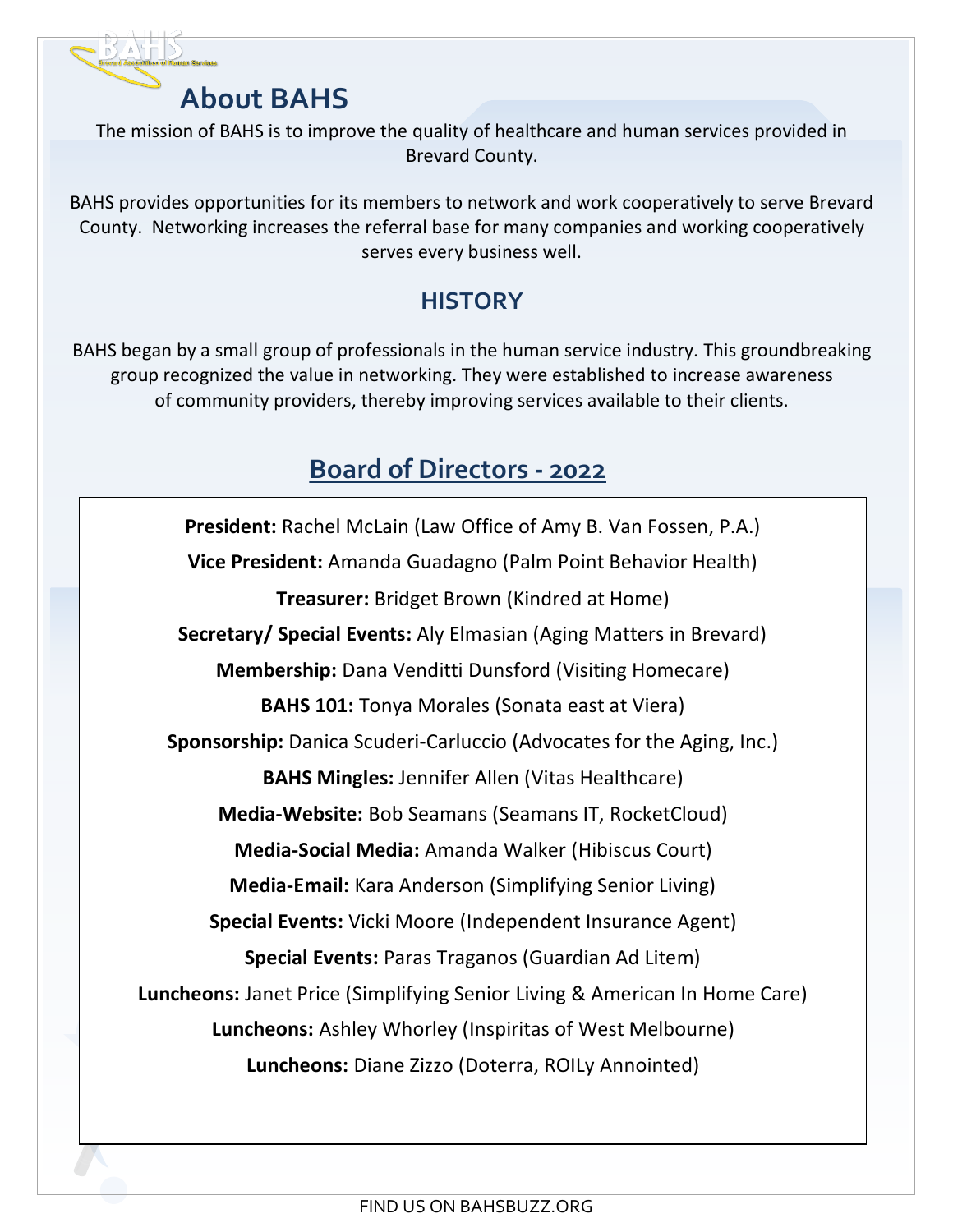

The mission of BAHS is to improve the quality of healthcare and human services provided in Brevard County.

BAHS provides opportunities for its members to network and work cooperatively to serve Brevard County. Networking increases the referral base for many companies and working cooperatively serves every business well.

## **HISTORY**

BAHS began by a small group of professionals in the human service industry. This groundbreaking group recognized the value in networking. They were established to increase awareness of community providers, thereby improving services available to their clients.

## **Board of Directors - 2022**

**President:** Rachel McLain (Law Office of Amy B. Van Fossen, P.A.) **Vice President:** Amanda Guadagno (Palm Point Behavior Health) **Treasurer:** Bridget Brown (Kindred at Home) **Secretary/ Special Events:** Aly Elmasian (Aging Matters in Brevard) **Membership:** Dana Venditti Dunsford (Visiting Homecare) **BAHS 101:** Tonya Morales (Sonata east at Viera) **Sponsorship:** Danica Scuderi-Carluccio (Advocates for the Aging, Inc.) **BAHS Mingles:** Jennifer Allen (Vitas Healthcare) **Media-Website:** Bob Seamans (Seamans IT, RocketCloud) **Media-Social Media:** Amanda Walker (Hibiscus Court) **Media-Email:** Kara Anderson (Simplifying Senior Living) **Special Events:** Vicki Moore (Independent Insurance Agent) **Special Events:** Paras Traganos (Guardian Ad Litem) **Luncheons:** Janet Price (Simplifying Senior Living & American In Home Care) **Luncheons:** Ashley Whorley (Inspiritas of West Melbourne) **Luncheons:** Diane Zizzo (Doterra, ROILy Annointed)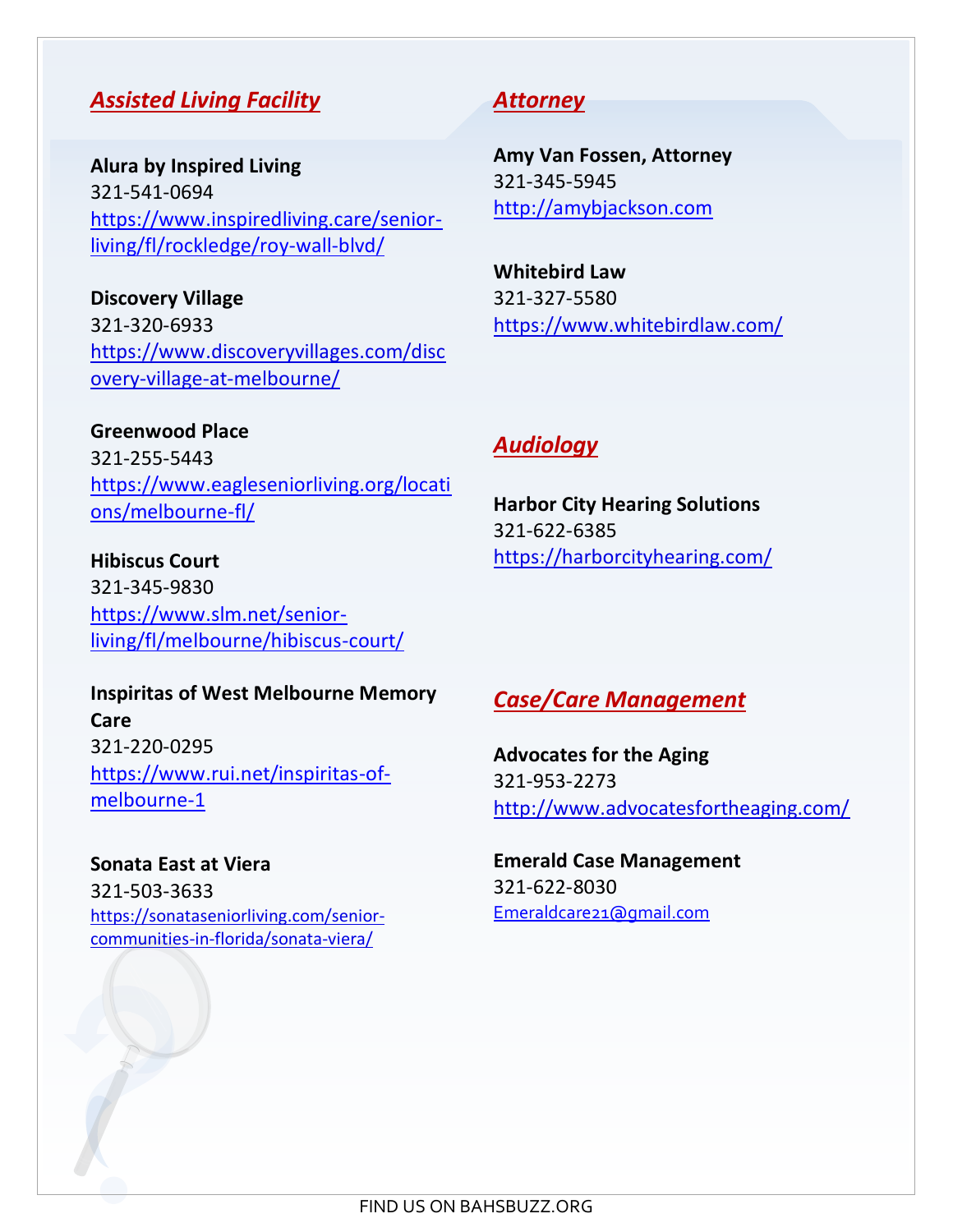#### *Assisted Living Facility*

**Alura by Inspired Living** 321-541-0694 [https://www.inspiredliving.care/senior](https://www.inspiredliving.care/senior-living/fl/rockledge/roy-wall-blvd/)[living/fl/rockledge/roy-wall-blvd/](https://www.inspiredliving.care/senior-living/fl/rockledge/roy-wall-blvd/)

**Discovery Village** 321-320-6933 https://www.discoveryvillages.com/disc overy-village-at-melbourne/

**Greenwood Place** 321-255-5443 [https://www.eagleseniorliving.org/locati](https://www.eagleseniorliving.org/locations/melbourne-fl/) [ons/melbourne-fl/](https://www.eagleseniorliving.org/locations/melbourne-fl/)

**Hibiscus Court** 321-345-9830 [https://www.slm.net/senior](https://www.slm.net/senior-living/fl/melbourne/hibiscus-court/)[living/fl/melbourne/hibiscus-court/](https://www.slm.net/senior-living/fl/melbourne/hibiscus-court/)

#### **Inspiritas of West Melbourne Memory Care** 321-220-0295 [https://www.rui.net/inspiritas-of](https://www.rui.net/inspiritas-of-melbourne-1)[melbourne-1](https://www.rui.net/inspiritas-of-melbourne-1)

**Sonata East at Viera** 321-503-3633 [https://sonataseniorliving.com/senior](https://sonataseniorliving.com/senior-communities-in-florida/sonata-viera/)[communities-in-florida/sonata-viera/](https://sonataseniorliving.com/senior-communities-in-florida/sonata-viera/)

#### *Attorney*

**Amy Van Fossen, Attorney** 321-345-5945 [http://amybjackson.com](http://amybjackson.com/)

**Whitebird Law** 321-327-5580 https://www.whitebirdlaw.com/

#### *Audiology*

**Harbor City Hearing Solutions** 321-622-6385 https://harborcityhearing.com/

## *Case/Care Management*

**Advocates for the Aging** 321-953-2273 <http://www.advocatesfortheaging.com/>

**Emerald Case Management** 321-622-8030 [Emeraldcare21@gmail.com](mailto:Emeraldcare21@gmail.com)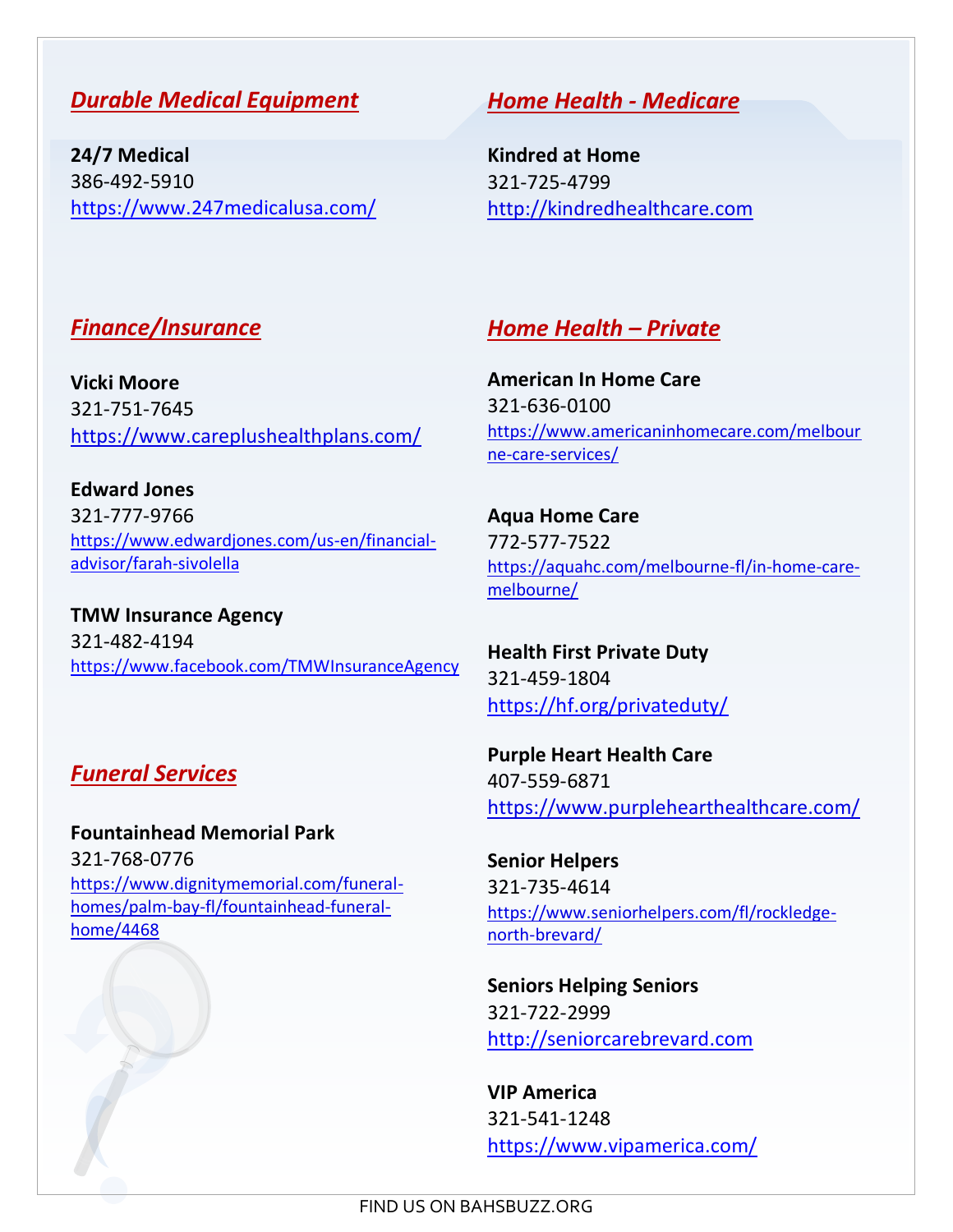#### *Durable Medical Equipment*

**24/7 Medical** 386-492-5910 https://www.247medicalusa.com/

#### *Home Health - Medicare*

**Kindred at Home** 321-725-4799 [http://kindredhealthcare.com](http://kindredhealthcare.com/)

## *Finance/Insurance*

**Vicki Moore** 321-751-7645 https://www.careplushealthplans.com/

**Edward Jones** 321-777-9766 [https://www.edwardjones.com/us-en/financial](https://www.edwardjones.com/us-en/financial-advisor/farah-sivolella)[advisor/farah-sivolella](https://www.edwardjones.com/us-en/financial-advisor/farah-sivolella)

**TMW Insurance Agency** 321-482-4194 https://www.facebook.com/TMWInsuranceAgency

## *Funeral Services*

**Fountainhead Memorial Park** 321-768-0776 https://www.dignitymemorial.com/funeralhomes/palm-bay-fl/fountainhead-funeralhome/4468

## *Home Health – Private*

**American In Home Care** 321-636-0100 https://www.americaninhomecare.com/melbour ne-care-services/

**Aqua Home Care** 772-577-7522 https://aquahc.com/melbourne-fl/in-home-caremelbourne/

**Health First Private Duty** 321-459-1804 <https://hf.org/privateduty/>

**Purple Heart Health Care** 407-559-6871 https://www.purplehearthealthcare.com/

**Senior Helpers** 321-735-4614 https://www.seniorhelpers.com/fl/rockledgenorth-brevard/

**Seniors Helping Seniors** 321-722-2999 [http://seniorcarebrevard.com](http://seniorcarebrevard.com/)

**VIP America** 321-541-1248 <https://www.vipamerica.com/>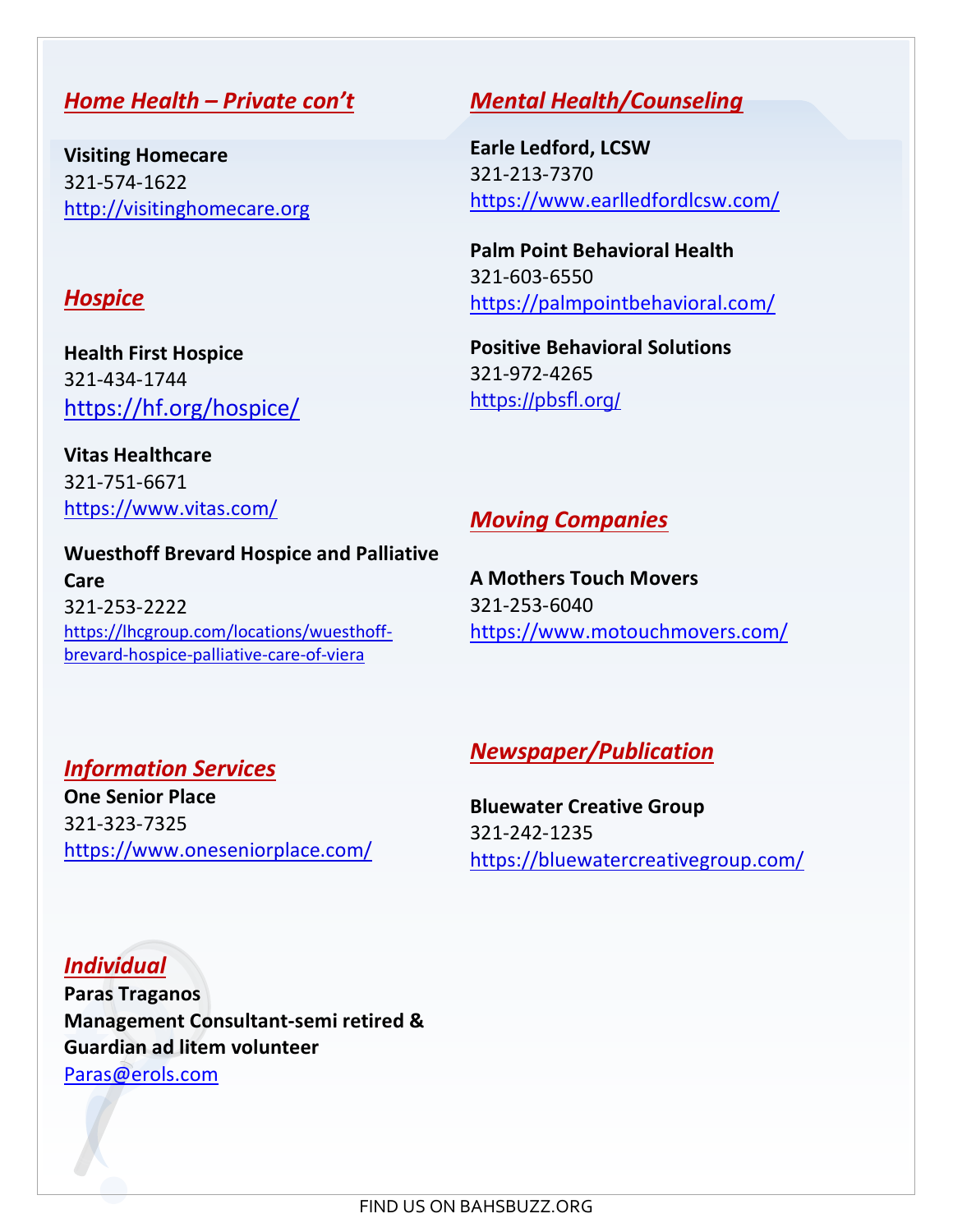#### *Home Health – Private con't*

**Visiting Homecare** 321-574-1622 [http://visitinghomecare.org](http://visitinghomecare.org/)

#### *Hospice*

**Health First Hospice** 321-434-1744 https://hf.org/hospice/

**Vitas Healthcare** 321-751-6671 https://www.vitas.com/

#### **Wuesthoff Brevard Hospice and Palliative Care** 321-253-2222 https://lhcgroup.com/locations/wuesthoffbrevard-hospice-palliative-care-of-viera

## *Mental Health/Counseling*

**Earle Ledford, LCSW** 321-213-7370 <https://www.earlledfordlcsw.com/>

**Palm Point Behavioral Health** 321-603-6550 <https://palmpointbehavioral.com/>

**Positive Behavioral Solutions** 321-972-4265 https://pbsfl.org/

## *Moving Companies*

**A Mothers Touch Movers** 321-253-6040 <https://www.motouchmovers.com/>

#### *Information Services*

**One Senior Place** 321-323-7325 https://www.oneseniorplace.com/

#### *Newspaper/Publication*

**Bluewater Creative Group** 321-242-1235 https://bluewatercreativegroup.com/

*Individual*  **Paras Traganos Management Consultant-semi retired & Guardian ad litem volunteer** [Paras@erols.com](mailto:Paras@erols.com)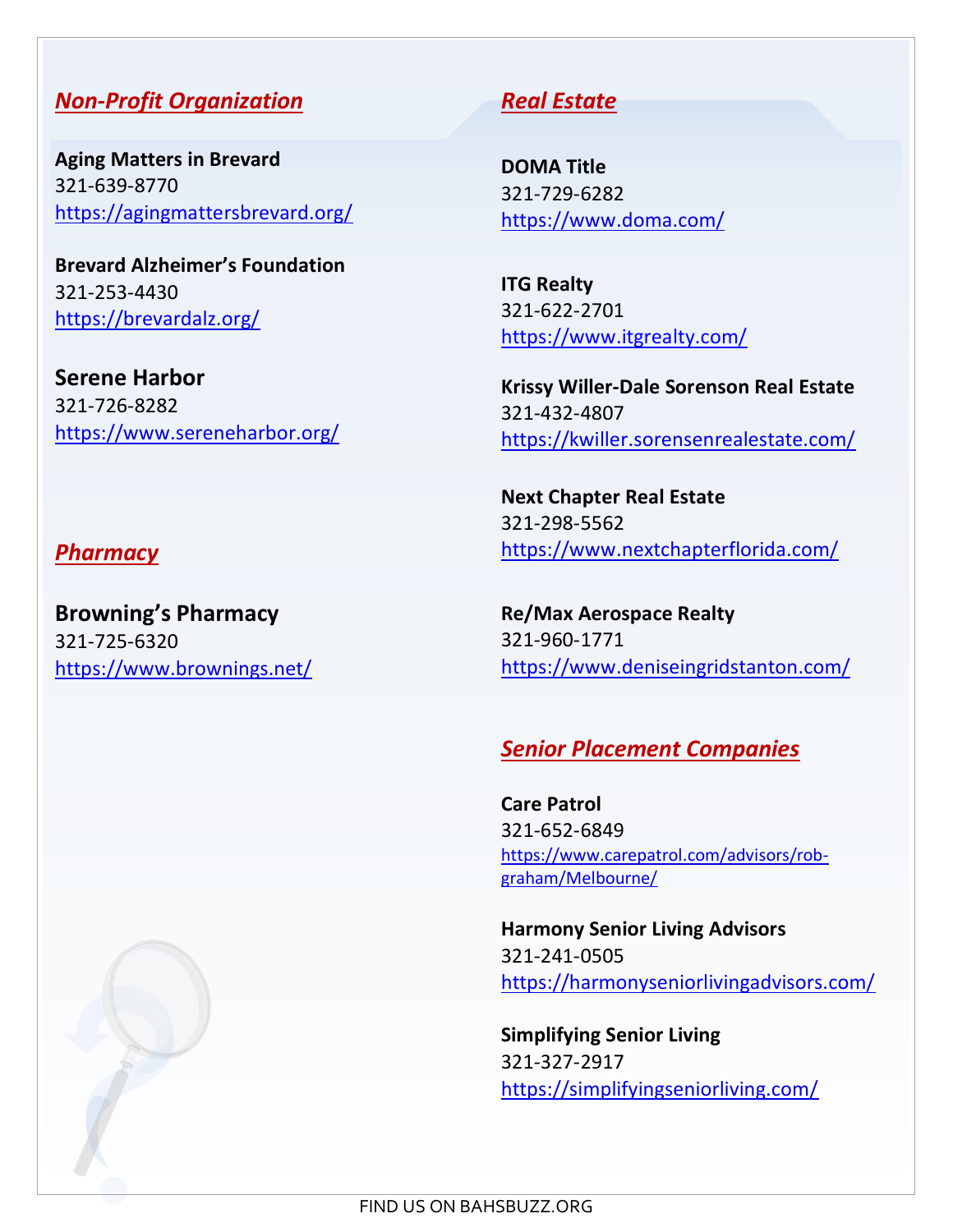## *Non-Profit Organization*

**Aging Matters in Brevard** 321-639-8770 https://agingmattersbrevard.org/

**Brevard Alzheimer's Foundation** 321-253-4430 https://brevardalz.org/

**Serene Harbor** 321-726-8282 https://www.sereneharbor.org/

#### *Pharmacy*

**Browning's Pharmacy** 321-725-6320 https://www.brownings.net/

## *Real Estate*

**DOMA Title** 321-729-6282 https://www.doma.com/

**ITG Realty** 321-622-2701 <https://www.itgrealty.com/>

**Krissy Willer-Dale Sorenson Real Estate** 321-432-4807 https://kwiller.sorensenrealestate.com/

**Next Chapter Real Estate** 321-298-5562 https://www.nextchapterflorida.com/

**Re/Max Aerospace Realty** 321-960-1771 https://www.deniseingridstanton.com/

#### *Senior Placement Companies*

**Care Patrol** 321-652-6849 https://www.carepatrol.com/advisors/robgraham/Melbourne/

**Harmony Senior Living Advisors** 321-241-0505 <https://harmonyseniorlivingadvisors.com/>

**Simplifying Senior Living** 321-327-2917 https://simplifyingseniorliving.com/